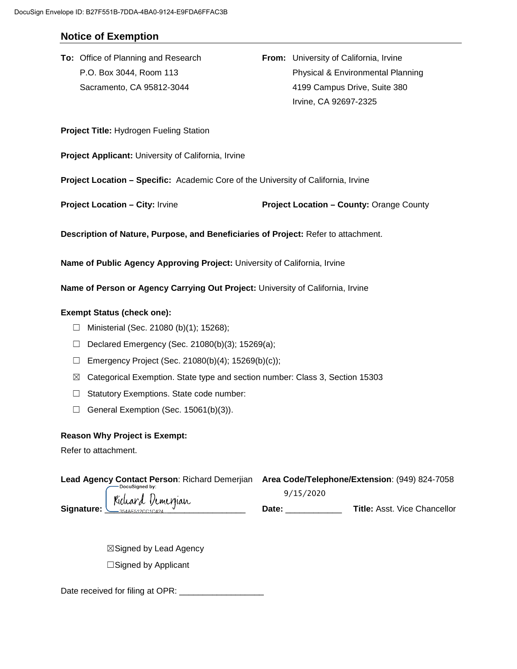# **Notice of Exemption**

**To:** Office of Planning and Research **From:** University of California, Irvine P.O. Box 3044, Room 113 Physical & Environmental Planning Sacramento, CA 95812-3044 4199 Campus Drive, Suite 380 Irvine, CA 92697-2325

**Project Title:** Hydrogen Fueling Station

**Project Applicant:** University of California, Irvine

**Project Location – Specific:** Academic Core of the University of California, Irvine

**Project Location – City:** Irvine **Project Location – County:** Orange County

**Description of Nature, Purpose, and Beneficiaries of Project:** Refer to attachment.

**Name of Public Agency Approving Project:** University of California, Irvine

**Name of Person or Agency Carrying Out Project:** University of California, Irvine

#### **Exempt Status (check one):**

- ☐ Ministerial (Sec. 21080 (b)(1); 15268);
- $\Box$  Declared Emergency (Sec. 21080(b)(3); 15269(a);
- $\Box$  Emergency Project (Sec. 21080(b)(4); 15269(b)(c));
- ☒ Categorical Exemption. State type and section number: Class 3, Section 15303
- ☐ Statutory Exemptions. State code number:
- $\Box$  General Exemption (Sec. 15061(b)(3)).

#### **Reason Why Project is Exempt:**

Refer to attachment.

| Lead Agency Contact Person: Richard Demerijan Area Code/Telephone/Extension: (949) 824-7058<br>— DocuSigned by: |           |                                     |
|-----------------------------------------------------------------------------------------------------------------|-----------|-------------------------------------|
| Richard Demerjian<br>Signature: U                                                                               | 9/15/2020 |                                     |
|                                                                                                                 | Date:     | <b>Title: Asst. Vice Chancellor</b> |

☒Signed by Lead Agency ☐Signed by Applicant

Date received for filing at OPR: \_\_\_\_\_\_\_\_\_\_\_\_\_\_\_\_\_\_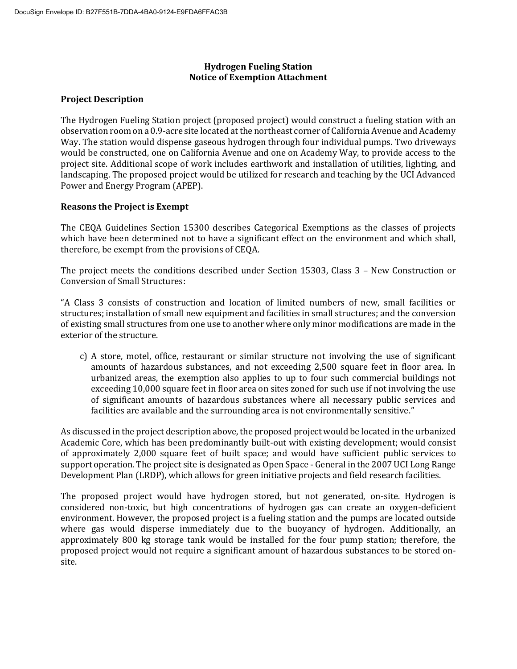## **Hydrogen Fueling Station Notice of Exemption Attachment**

## **Project Description**

The Hydrogen Fueling Station project (proposed project) would construct a fueling station with an observation room on a 0.9-acre site located at the northeast corner of California Avenue and Academy Way. The station would dispense gaseous hydrogen through four individual pumps. Two driveways would be constructed, one on California Avenue and one on Academy Way, to provide access to the project site. Additional scope of work includes earthwork and installation of utilities, lighting, and landscaping. The proposed project would be utilized for research and teaching by the UCI Advanced Power and Energy Program (APEP).

### **Reasons the Project is Exempt**

The CEQA Guidelines Section 15300 describes Categorical Exemptions as the classes of projects which have been determined not to have a significant effect on the environment and which shall, therefore, be exempt from the provisions of CEQA.

The project meets the conditions described under Section 15303, Class 3 – New Construction or Conversion of Small Structures:

"A Class 3 consists of construction and location of limited numbers of new, small facilities or structures; installation of small new equipment and facilities in small structures; and the conversion of existing small structures from one use to another where only minor modifications are made in the exterior of the structure.

c) A store, motel, office, restaurant or similar structure not involving the use of significant amounts of hazardous substances, and not exceeding 2,500 square feet in floor area. In urbanized areas, the exemption also applies to up to four such commercial buildings not exceeding 10,000 square feet in floor area on sites zoned for such use if not involving the use of significant amounts of hazardous substances where all necessary public services and facilities are available and the surrounding area is not environmentally sensitive."

As discussed in the project description above, the proposed project would be located in the urbanized Academic Core, which has been predominantly built-out with existing development; would consist of approximately 2,000 square feet of built space; and would have sufficient public services to support operation. The project site is designated as Open Space - General in the 2007 UCI Long Range Development Plan (LRDP), which allows for green initiative projects and field research facilities.

The proposed project would have hydrogen stored, but not generated, on-site. Hydrogen is considered non-toxic, but high concentrations of hydrogen gas can create an oxygen-deficient environment. However, the proposed project is a fueling station and the pumps are located outside where gas would disperse immediately due to the buoyancy of hydrogen. Additionally, an approximately 800 kg storage tank would be installed for the four pump station; therefore, the proposed project would not require a significant amount of hazardous substances to be stored onsite.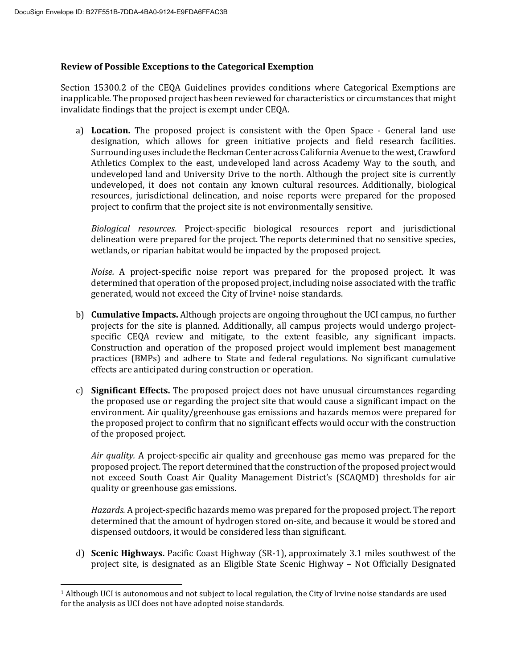$\overline{a}$ 

#### **Review of Possible Exceptions to the Categorical Exemption**

Section 15300.2 of the CEQA Guidelines provides conditions where Categorical Exemptions are inapplicable. The proposed project has been reviewed for characteristics or circumstances that might invalidate findings that the project is exempt under CEQA.

a) **Location.** The proposed project is consistent with the Open Space - General land use designation, which allows for green initiative projects and field research facilities. Surrounding uses include the Beckman Center across California Avenue to the west, Crawford Athletics Complex to the east, undeveloped land across Academy Way to the south, and undeveloped land and University Drive to the north. Although the project site is currently undeveloped, it does not contain any known cultural resources. Additionally, biological resources, jurisdictional delineation, and noise reports were prepared for the proposed project to confirm that the project site is not environmentally sensitive.

*Biological resources.* Project-specific biological resources report and jurisdictional delineation were prepared for the project. The reports determined that no sensitive species, wetlands, or riparian habitat would be impacted by the proposed project.

*Noise.* A project-specific noise report was prepared for the proposed project. It was determined that operation of the proposed project, including noise associated with the traffic generated, would not exceed the City of Irvine<sup>1</sup> noise standards.

- b) **Cumulative Impacts.** Although projects are ongoing throughout the UCI campus, no further projects for the site is planned. Additionally, all campus projects would undergo projectspecific CEQA review and mitigate, to the extent feasible, any significant impacts. Construction and operation of the proposed project would implement best management practices (BMPs) and adhere to State and federal regulations. No significant cumulative effects are anticipated during construction or operation.
- c) **Significant Effects.** The proposed project does not have unusual circumstances regarding the proposed use or regarding the project site that would cause a significant impact on the environment. Air quality/greenhouse gas emissions and hazards memos were prepared for the proposed project to confirm that no significant effects would occur with the construction of the proposed project.

*Air quality.* A project-specific air quality and greenhouse gas memo was prepared for the proposed project. The report determined that the construction of the proposed project would not exceed South Coast Air Quality Management District's (SCAQMD) thresholds for air quality or greenhouse gas emissions.

*Hazards.* A project-specific hazards memo was prepared for the proposed project. The report determined that the amount of hydrogen stored on-site, and because it would be stored and dispensed outdoors, it would be considered less than significant.

d) **Scenic Highways.** Pacific Coast Highway (SR-1), approximately 3.1 miles southwest of the project site, is designated as an Eligible State Scenic Highway – Not Officially Designated

<sup>1</sup> Although UCI is autonomous and not subject to local regulation, the City of Irvine noise standards are used for the analysis as UCI does not have adopted noise standards.